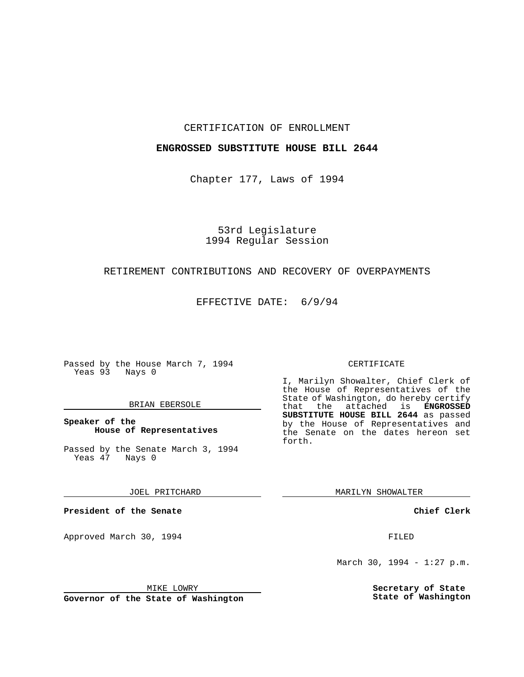### CERTIFICATION OF ENROLLMENT

### **ENGROSSED SUBSTITUTE HOUSE BILL 2644**

Chapter 177, Laws of 1994

# 53rd Legislature 1994 Regular Session

## RETIREMENT CONTRIBUTIONS AND RECOVERY OF OVERPAYMENTS

EFFECTIVE DATE: 6/9/94

Passed by the House March 7, 1994 Yeas 93 Nays 0

### BRIAN EBERSOLE

### **Speaker of the House of Representatives**

Passed by the Senate March 3, 1994 Yeas 47 Nays 0

JOEL PRITCHARD

**President of the Senate**

Approved March 30, 1994 **FILED** 

## CERTIFICATE

I, Marilyn Showalter, Chief Clerk of the House of Representatives of the State of Washington, do hereby certify that the attached is **ENGROSSED SUBSTITUTE HOUSE BILL 2644** as passed by the House of Representatives and the Senate on the dates hereon set forth.

MARILYN SHOWALTER

**Chief Clerk**

March 30, 1994 - 1:27 p.m.

**Secretary of State State of Washington**

MIKE LOWRY

**Governor of the State of Washington**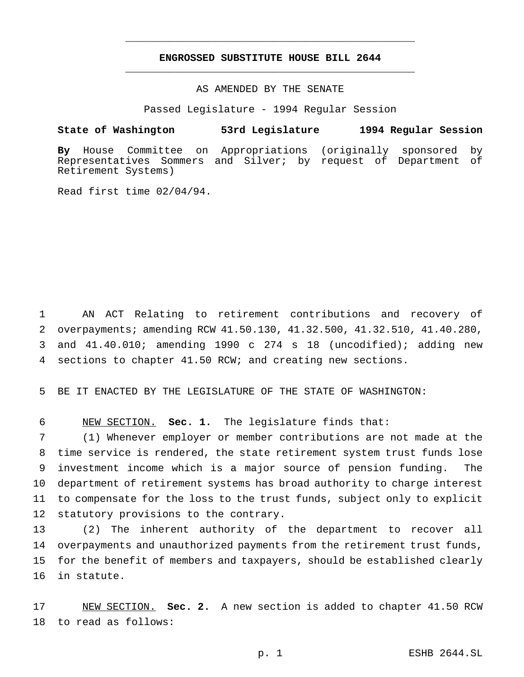# **ENGROSSED SUBSTITUTE HOUSE BILL 2644** \_\_\_\_\_\_\_\_\_\_\_\_\_\_\_\_\_\_\_\_\_\_\_\_\_\_\_\_\_\_\_\_\_\_\_\_\_\_\_\_\_\_\_\_\_\_\_

\_\_\_\_\_\_\_\_\_\_\_\_\_\_\_\_\_\_\_\_\_\_\_\_\_\_\_\_\_\_\_\_\_\_\_\_\_\_\_\_\_\_\_\_\_\_\_

# AS AMENDED BY THE SENATE

Passed Legislature - 1994 Regular Session

#### **State of Washington 53rd Legislature 1994 Regular Session**

**By** House Committee on Appropriations (originally sponsored by Representatives Sommers and Silver; by request of Department of Retirement Systems)

Read first time 02/04/94.

 AN ACT Relating to retirement contributions and recovery of overpayments; amending RCW 41.50.130, 41.32.500, 41.32.510, 41.40.280, and 41.40.010; amending 1990 c 274 s 18 (uncodified); adding new sections to chapter 41.50 RCW; and creating new sections.

BE IT ENACTED BY THE LEGISLATURE OF THE STATE OF WASHINGTON:

NEW SECTION. **Sec. 1.** The legislature finds that:

 (1) Whenever employer or member contributions are not made at the time service is rendered, the state retirement system trust funds lose investment income which is a major source of pension funding. The department of retirement systems has broad authority to charge interest to compensate for the loss to the trust funds, subject only to explicit statutory provisions to the contrary.

 (2) The inherent authority of the department to recover all overpayments and unauthorized payments from the retirement trust funds, for the benefit of members and taxpayers, should be established clearly in statute.

 NEW SECTION. **Sec. 2.** A new section is added to chapter 41.50 RCW to read as follows: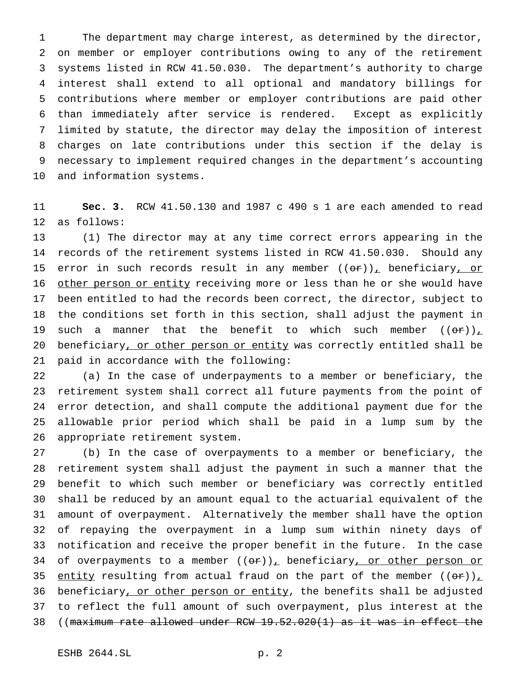The department may charge interest, as determined by the director, on member or employer contributions owing to any of the retirement systems listed in RCW 41.50.030. The department's authority to charge interest shall extend to all optional and mandatory billings for contributions where member or employer contributions are paid other than immediately after service is rendered. Except as explicitly limited by statute, the director may delay the imposition of interest charges on late contributions under this section if the delay is necessary to implement required changes in the department's accounting and information systems.

 **Sec. 3.** RCW 41.50.130 and 1987 c 490 s 1 are each amended to read as follows:

 (1) The director may at any time correct errors appearing in the records of the retirement systems listed in RCW 41.50.030. Should any 15 error in such records result in any member  $((or))_+$  beneficiary, or 16 other person or entity receiving more or less than he or she would have been entitled to had the records been correct, the director, subject to the conditions set forth in this section, shall adjust the payment in 19 such a manner that the benefit to which such member  $((\Theta \cdot \mathbf{r}))_+$  beneficiary, or other person or entity was correctly entitled shall be paid in accordance with the following:

 (a) In the case of underpayments to a member or beneficiary, the retirement system shall correct all future payments from the point of error detection, and shall compute the additional payment due for the allowable prior period which shall be paid in a lump sum by the appropriate retirement system.

 (b) In the case of overpayments to a member or beneficiary, the retirement system shall adjust the payment in such a manner that the benefit to which such member or beneficiary was correctly entitled shall be reduced by an amount equal to the actuarial equivalent of the amount of overpayment. Alternatively the member shall have the option of repaying the overpayment in a lump sum within ninety days of notification and receive the proper benefit in the future. In the case 34 of overpayments to a member  $((or))_+$  beneficiary, or other person or 35 entity resulting from actual fraud on the part of the member  $((\theta \cdot \tau))_L$ 36 beneficiary, or other person or entity, the benefits shall be adjusted to reflect the full amount of such overpayment, plus interest at the ((maximum rate allowed under RCW 19.52.020(1) as it was in effect the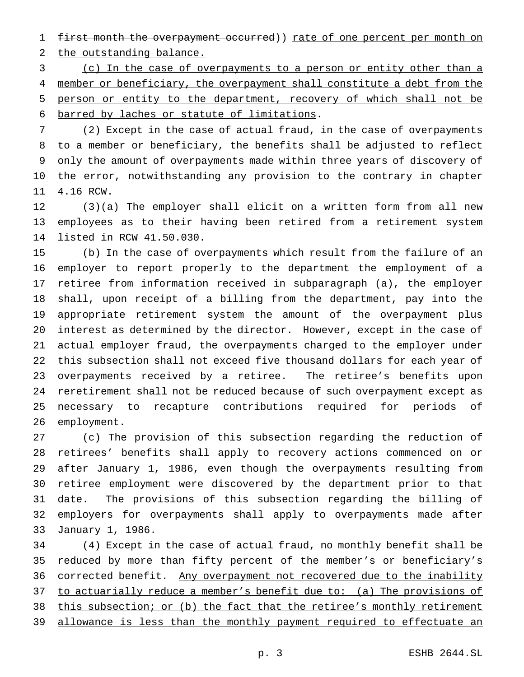1 first month the overpayment occurred)) rate of one percent per month on

2 the outstanding balance.

 (c) In the case of overpayments to a person or entity other than a member or beneficiary, the overpayment shall constitute a debt from the person or entity to the department, recovery of which shall not be barred by laches or statute of limitations.

 (2) Except in the case of actual fraud, in the case of overpayments to a member or beneficiary, the benefits shall be adjusted to reflect only the amount of overpayments made within three years of discovery of the error, notwithstanding any provision to the contrary in chapter 4.16 RCW.

 (3)(a) The employer shall elicit on a written form from all new employees as to their having been retired from a retirement system listed in RCW 41.50.030.

 (b) In the case of overpayments which result from the failure of an employer to report properly to the department the employment of a retiree from information received in subparagraph (a), the employer shall, upon receipt of a billing from the department, pay into the appropriate retirement system the amount of the overpayment plus interest as determined by the director. However, except in the case of actual employer fraud, the overpayments charged to the employer under this subsection shall not exceed five thousand dollars for each year of overpayments received by a retiree. The retiree's benefits upon reretirement shall not be reduced because of such overpayment except as necessary to recapture contributions required for periods of employment.

 (c) The provision of this subsection regarding the reduction of retirees' benefits shall apply to recovery actions commenced on or after January 1, 1986, even though the overpayments resulting from retiree employment were discovered by the department prior to that date. The provisions of this subsection regarding the billing of employers for overpayments shall apply to overpayments made after January 1, 1986.

 (4) Except in the case of actual fraud, no monthly benefit shall be reduced by more than fifty percent of the member's or beneficiary's 36 corrected benefit. Any overpayment not recovered due to the inability 37 to actuarially reduce a member's benefit due to: (a) The provisions of this subsection; or (b) the fact that the retiree's monthly retirement 39 allowance is less than the monthly payment required to effectuate an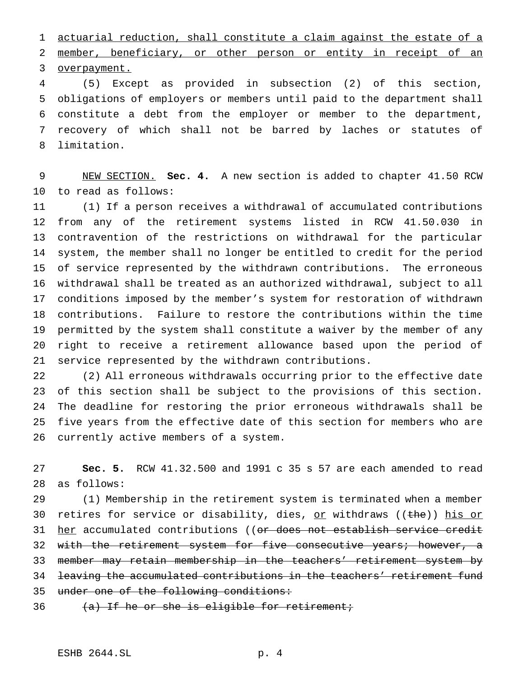actuarial reduction, shall constitute a claim against the estate of a member, beneficiary, or other person or entity in receipt of an

overpayment.

 (5) Except as provided in subsection (2) of this section, obligations of employers or members until paid to the department shall constitute a debt from the employer or member to the department, recovery of which shall not be barred by laches or statutes of limitation.

 NEW SECTION. **Sec. 4.** A new section is added to chapter 41.50 RCW to read as follows:

 (1) If a person receives a withdrawal of accumulated contributions from any of the retirement systems listed in RCW 41.50.030 in contravention of the restrictions on withdrawal for the particular system, the member shall no longer be entitled to credit for the period of service represented by the withdrawn contributions. The erroneous withdrawal shall be treated as an authorized withdrawal, subject to all conditions imposed by the member's system for restoration of withdrawn contributions. Failure to restore the contributions within the time permitted by the system shall constitute a waiver by the member of any right to receive a retirement allowance based upon the period of service represented by the withdrawn contributions.

 (2) All erroneous withdrawals occurring prior to the effective date of this section shall be subject to the provisions of this section. The deadline for restoring the prior erroneous withdrawals shall be five years from the effective date of this section for members who are currently active members of a system.

 **Sec. 5.** RCW 41.32.500 and 1991 c 35 s 57 are each amended to read as follows:

 (1) Membership in the retirement system is terminated when a member 30 retires for service or disability, dies, or withdraws ((the)) his or 31 her accumulated contributions ((<del>or does not establish service credit</del> 32 with the retirement system for five consecutive years; however, a member may retain membership in the teachers' retirement system by leaving the accumulated contributions in the teachers' retirement fund 35 under one of the following conditions:

36  $(a)$  If he or she is eligible for retirement;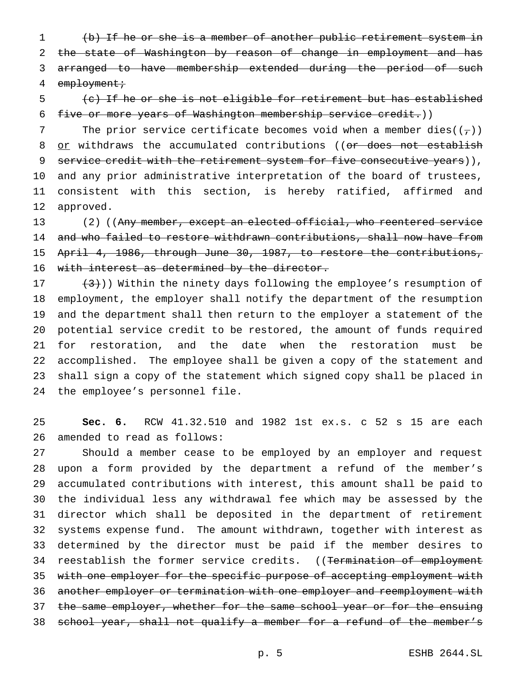(b) If he or she is a member of another public retirement system in 2 the state of Washington by reason of change in employment and has arranged to have membership extended during the period of such 4 employment;

 (c) If he or she is not eligible for retirement but has established five or more years of Washington membership service credit.))

7 The prior service certificate becomes void when a member dies( $(\tau)$ ) 8 or withdraws the accumulated contributions ((or does not establish 9 service credit with the retirement system for five consecutive years)), and any prior administrative interpretation of the board of trustees, consistent with this section, is hereby ratified, affirmed and approved.

13 (2) ((Any member, except an elected official, who reentered service 14 and who failed to restore withdrawn contributions, shall now have from April 4, 1986, through June 30, 1987, to restore the contributions, 16 with interest as determined by the director.

 $(3)$ )) Within the ninety days following the employee's resumption of employment, the employer shall notify the department of the resumption and the department shall then return to the employer a statement of the potential service credit to be restored, the amount of funds required for restoration, and the date when the restoration must be accomplished. The employee shall be given a copy of the statement and shall sign a copy of the statement which signed copy shall be placed in the employee's personnel file.

 **Sec. 6.** RCW 41.32.510 and 1982 1st ex.s. c 52 s 15 are each amended to read as follows:

 Should a member cease to be employed by an employer and request upon a form provided by the department a refund of the member's accumulated contributions with interest, this amount shall be paid to the individual less any withdrawal fee which may be assessed by the director which shall be deposited in the department of retirement systems expense fund. The amount withdrawn, together with interest as determined by the director must be paid if the member desires to 34 reestablish the former service credits. ((Termination of employment 35 with one employer for the specific purpose of accepting employment with another employer or termination with one employer and reemployment with 37 the same employer, whether for the same school year or for the ensuing school year, shall not qualify a member for a refund of the member's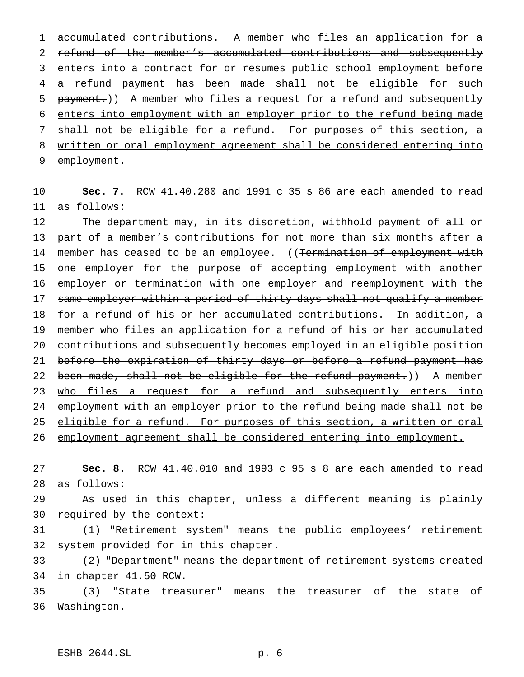accumulated contributions. A member who files an application for a 2 refund of the member's accumulated contributions and subsequently enters into a contract for or resumes public school employment before a refund payment has been made shall not be eligible for such 5 payment.)) A member who files a request for a refund and subsequently enters into employment with an employer prior to the refund being made 7 shall not be eligible for a refund. For purposes of this section, a written or oral employment agreement shall be considered entering into employment.

 **Sec. 7.** RCW 41.40.280 and 1991 c 35 s 86 are each amended to read as follows:

 The department may, in its discretion, withhold payment of all or part of a member's contributions for not more than six months after a 14 member has ceased to be an employee. ((Termination of employment with 15 one employer for the purpose of accepting employment with another employer or termination with one employer and reemployment with the 17 same employer within a period of thirty days shall not qualify a member for a refund of his or her accumulated contributions. In addition, a 19 member who files an application for a refund of his or her accumulated contributions and subsequently becomes employed in an eligible position 21 before the expiration of thirty days or before a refund payment has 22 been made, shall not be eligible for the refund payment.)) A member 23 who files a request for a refund and subsequently enters into 24 employment with an employer prior to the refund being made shall not be 25 eligible for a refund. For purposes of this section, a written or oral employment agreement shall be considered entering into employment.

 **Sec. 8.** RCW 41.40.010 and 1993 c 95 s 8 are each amended to read as follows:

 As used in this chapter, unless a different meaning is plainly required by the context:

 (1) "Retirement system" means the public employees' retirement system provided for in this chapter.

 (2) "Department" means the department of retirement systems created in chapter 41.50 RCW.

 (3) "State treasurer" means the treasurer of the state of Washington.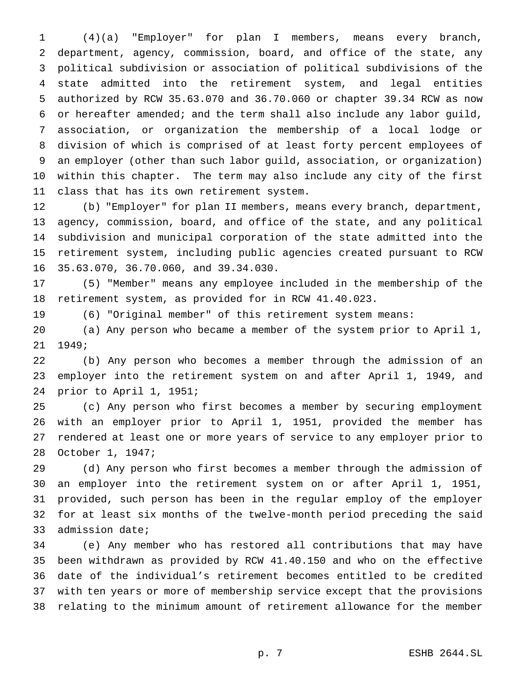(4)(a) "Employer" for plan I members, means every branch, department, agency, commission, board, and office of the state, any political subdivision or association of political subdivisions of the state admitted into the retirement system, and legal entities authorized by RCW 35.63.070 and 36.70.060 or chapter 39.34 RCW as now or hereafter amended; and the term shall also include any labor guild, association, or organization the membership of a local lodge or division of which is comprised of at least forty percent employees of an employer (other than such labor guild, association, or organization) within this chapter. The term may also include any city of the first class that has its own retirement system.

 (b) "Employer" for plan II members, means every branch, department, agency, commission, board, and office of the state, and any political subdivision and municipal corporation of the state admitted into the retirement system, including public agencies created pursuant to RCW 35.63.070, 36.70.060, and 39.34.030.

 (5) "Member" means any employee included in the membership of the retirement system, as provided for in RCW 41.40.023.

(6) "Original member" of this retirement system means:

 (a) Any person who became a member of the system prior to April 1, 1949;

 (b) Any person who becomes a member through the admission of an employer into the retirement system on and after April 1, 1949, and prior to April 1, 1951;

 (c) Any person who first becomes a member by securing employment with an employer prior to April 1, 1951, provided the member has rendered at least one or more years of service to any employer prior to October 1, 1947;

 (d) Any person who first becomes a member through the admission of an employer into the retirement system on or after April 1, 1951, provided, such person has been in the regular employ of the employer for at least six months of the twelve-month period preceding the said admission date;

 (e) Any member who has restored all contributions that may have been withdrawn as provided by RCW 41.40.150 and who on the effective date of the individual's retirement becomes entitled to be credited with ten years or more of membership service except that the provisions relating to the minimum amount of retirement allowance for the member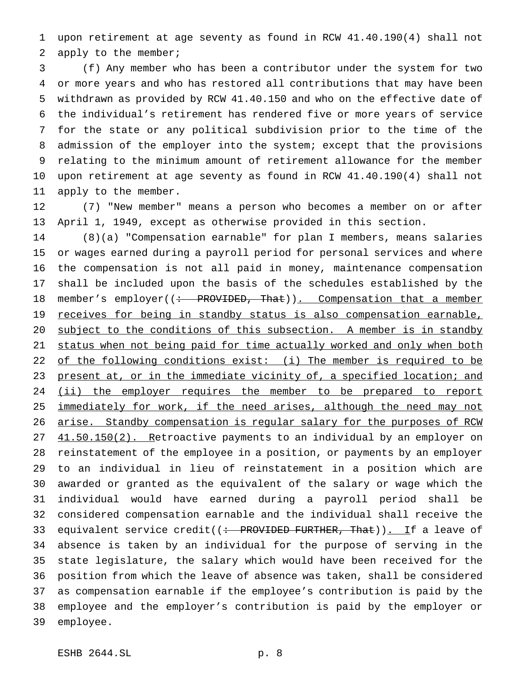upon retirement at age seventy as found in RCW 41.40.190(4) shall not apply to the member;

 (f) Any member who has been a contributor under the system for two or more years and who has restored all contributions that may have been withdrawn as provided by RCW 41.40.150 and who on the effective date of the individual's retirement has rendered five or more years of service for the state or any political subdivision prior to the time of the admission of the employer into the system; except that the provisions relating to the minimum amount of retirement allowance for the member upon retirement at age seventy as found in RCW 41.40.190(4) shall not apply to the member.

 (7) "New member" means a person who becomes a member on or after April 1, 1949, except as otherwise provided in this section.

 (8)(a) "Compensation earnable" for plan I members, means salaries or wages earned during a payroll period for personal services and where the compensation is not all paid in money, maintenance compensation shall be included upon the basis of the schedules established by the 18 member's employer((: PROVIDED, That)). Compensation that a member 19 receives for being in standby status is also compensation earnable, subject to the conditions of this subsection. A member is in standby 21 status when not being paid for time actually worked and only when both 22 of the following conditions exist: (i) The member is required to be 23 present at, or in the immediate vicinity of, a specified location; and 24 (ii) the employer requires the member to be prepared to report 25 immediately for work, if the need arises, although the need may not arise. Standby compensation is regular salary for the purposes of RCW 27 41.50.150(2). Retroactive payments to an individual by an employer on reinstatement of the employee in a position, or payments by an employer to an individual in lieu of reinstatement in a position which are awarded or granted as the equivalent of the salary or wage which the individual would have earned during a payroll period shall be considered compensation earnable and the individual shall receive the 33 equivalent service credit( $\left( \div \text{ PROVIDED FURTHER, That} \right)$ ). If a leave of absence is taken by an individual for the purpose of serving in the state legislature, the salary which would have been received for the position from which the leave of absence was taken, shall be considered as compensation earnable if the employee's contribution is paid by the employee and the employer's contribution is paid by the employer or employee.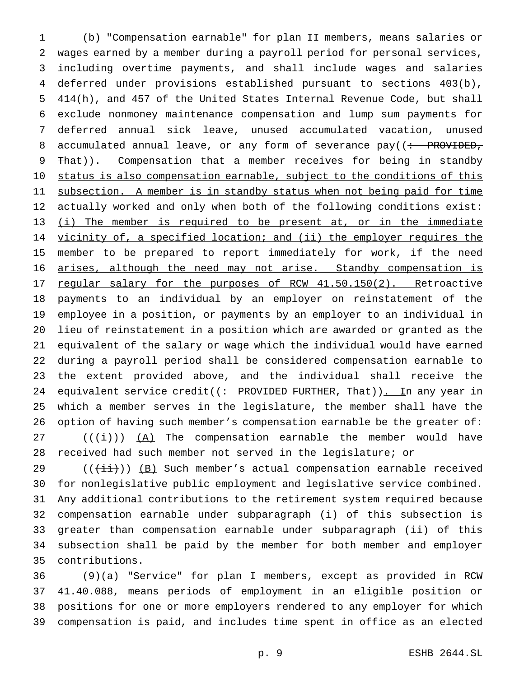(b) "Compensation earnable" for plan II members, means salaries or wages earned by a member during a payroll period for personal services, including overtime payments, and shall include wages and salaries deferred under provisions established pursuant to sections 403(b), 414(h), and 457 of the United States Internal Revenue Code, but shall exclude nonmoney maintenance compensation and lump sum payments for deferred annual sick leave, unused accumulated vacation, unused 8 accumulated annual leave, or any form of severance  $pay((\div)$  PROVIDED, 9 That)). Compensation that a member receives for being in standby 10 status is also compensation earnable, subject to the conditions of this 11 subsection. A member is in standby status when not being paid for time actually worked and only when both of the following conditions exist: (i) The member is required to be present at, or in the immediate 14 vicinity of, a specified location; and (ii) the employer requires the 15 member to be prepared to report immediately for work, if the need arises, although the need may not arise. Standby compensation is 17 regular salary for the purposes of RCW 41.50.150(2). Retroactive payments to an individual by an employer on reinstatement of the employee in a position, or payments by an employer to an individual in lieu of reinstatement in a position which are awarded or granted as the equivalent of the salary or wage which the individual would have earned during a payroll period shall be considered compensation earnable to the extent provided above, and the individual shall receive the 24 equivalent service credit((: PROVIDED FURTHER, That)). In any year in which a member serves in the legislature, the member shall have the option of having such member's compensation earnable be the greater of:  $((\overrightarrow{i}))(A)$  The compensation earnable the member would have received had such member not served in the legislature; or

29 ( $(\frac{i}{i}$ )) (B) Such member's actual compensation earnable received for nonlegislative public employment and legislative service combined. Any additional contributions to the retirement system required because compensation earnable under subparagraph (i) of this subsection is greater than compensation earnable under subparagraph (ii) of this subsection shall be paid by the member for both member and employer contributions.

 (9)(a) "Service" for plan I members, except as provided in RCW 41.40.088, means periods of employment in an eligible position or positions for one or more employers rendered to any employer for which compensation is paid, and includes time spent in office as an elected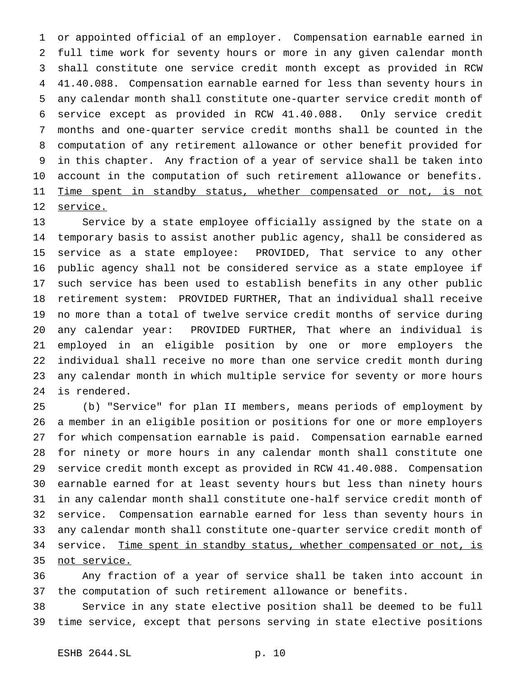or appointed official of an employer. Compensation earnable earned in full time work for seventy hours or more in any given calendar month shall constitute one service credit month except as provided in RCW 41.40.088. Compensation earnable earned for less than seventy hours in any calendar month shall constitute one-quarter service credit month of service except as provided in RCW 41.40.088. Only service credit months and one-quarter service credit months shall be counted in the computation of any retirement allowance or other benefit provided for in this chapter. Any fraction of a year of service shall be taken into account in the computation of such retirement allowance or benefits. 11 Time spent in standby status, whether compensated or not, is not 12 service.

 Service by a state employee officially assigned by the state on a temporary basis to assist another public agency, shall be considered as service as a state employee: PROVIDED, That service to any other public agency shall not be considered service as a state employee if such service has been used to establish benefits in any other public retirement system: PROVIDED FURTHER, That an individual shall receive no more than a total of twelve service credit months of service during any calendar year: PROVIDED FURTHER, That where an individual is employed in an eligible position by one or more employers the individual shall receive no more than one service credit month during any calendar month in which multiple service for seventy or more hours is rendered.

 (b) "Service" for plan II members, means periods of employment by a member in an eligible position or positions for one or more employers for which compensation earnable is paid. Compensation earnable earned for ninety or more hours in any calendar month shall constitute one service credit month except as provided in RCW 41.40.088. Compensation earnable earned for at least seventy hours but less than ninety hours in any calendar month shall constitute one-half service credit month of service. Compensation earnable earned for less than seventy hours in any calendar month shall constitute one-quarter service credit month of 34 service. Time spent in standby status, whether compensated or not, is not service.

 Any fraction of a year of service shall be taken into account in the computation of such retirement allowance or benefits.

 Service in any state elective position shall be deemed to be full time service, except that persons serving in state elective positions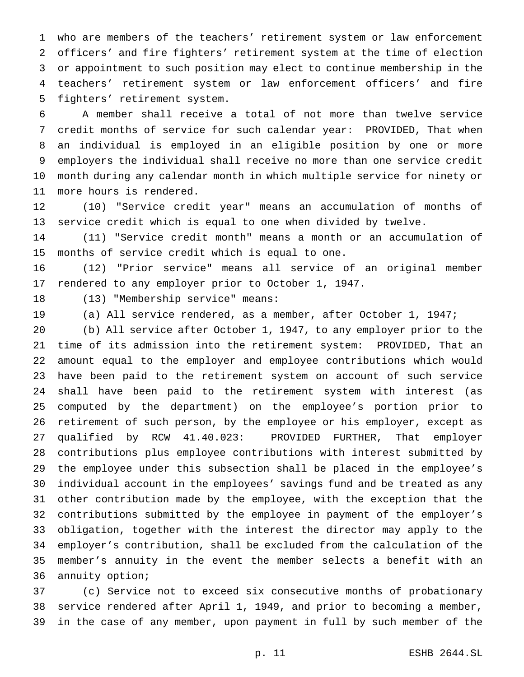who are members of the teachers' retirement system or law enforcement officers' and fire fighters' retirement system at the time of election or appointment to such position may elect to continue membership in the teachers' retirement system or law enforcement officers' and fire fighters' retirement system.

 A member shall receive a total of not more than twelve service credit months of service for such calendar year: PROVIDED, That when an individual is employed in an eligible position by one or more employers the individual shall receive no more than one service credit month during any calendar month in which multiple service for ninety or more hours is rendered.

 (10) "Service credit year" means an accumulation of months of service credit which is equal to one when divided by twelve.

 (11) "Service credit month" means a month or an accumulation of months of service credit which is equal to one.

 (12) "Prior service" means all service of an original member rendered to any employer prior to October 1, 1947.

(13) "Membership service" means:

(a) All service rendered, as a member, after October 1, 1947;

 (b) All service after October 1, 1947, to any employer prior to the time of its admission into the retirement system: PROVIDED, That an amount equal to the employer and employee contributions which would have been paid to the retirement system on account of such service shall have been paid to the retirement system with interest (as computed by the department) on the employee's portion prior to retirement of such person, by the employee or his employer, except as qualified by RCW 41.40.023: PROVIDED FURTHER, That employer contributions plus employee contributions with interest submitted by the employee under this subsection shall be placed in the employee's individual account in the employees' savings fund and be treated as any other contribution made by the employee, with the exception that the contributions submitted by the employee in payment of the employer's obligation, together with the interest the director may apply to the employer's contribution, shall be excluded from the calculation of the member's annuity in the event the member selects a benefit with an annuity option;

 (c) Service not to exceed six consecutive months of probationary service rendered after April 1, 1949, and prior to becoming a member, in the case of any member, upon payment in full by such member of the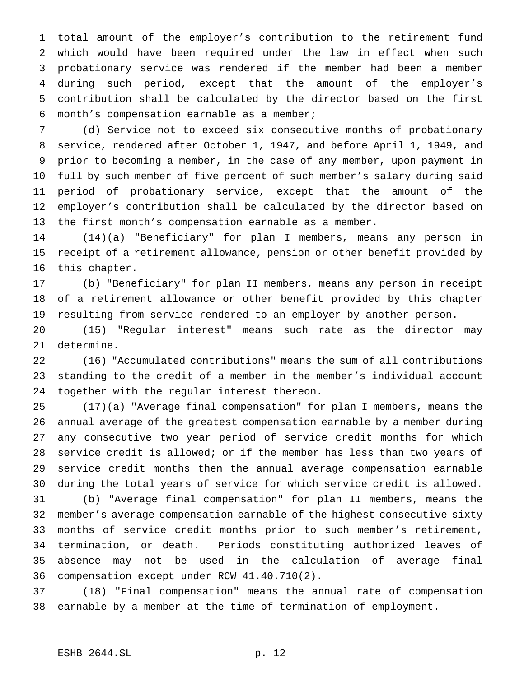total amount of the employer's contribution to the retirement fund which would have been required under the law in effect when such probationary service was rendered if the member had been a member during such period, except that the amount of the employer's contribution shall be calculated by the director based on the first month's compensation earnable as a member;

 (d) Service not to exceed six consecutive months of probationary service, rendered after October 1, 1947, and before April 1, 1949, and prior to becoming a member, in the case of any member, upon payment in full by such member of five percent of such member's salary during said period of probationary service, except that the amount of the employer's contribution shall be calculated by the director based on the first month's compensation earnable as a member.

 (14)(a) "Beneficiary" for plan I members, means any person in receipt of a retirement allowance, pension or other benefit provided by this chapter.

 (b) "Beneficiary" for plan II members, means any person in receipt of a retirement allowance or other benefit provided by this chapter resulting from service rendered to an employer by another person.

 (15) "Regular interest" means such rate as the director may determine.

 (16) "Accumulated contributions" means the sum of all contributions standing to the credit of a member in the member's individual account together with the regular interest thereon.

 (17)(a) "Average final compensation" for plan I members, means the annual average of the greatest compensation earnable by a member during any consecutive two year period of service credit months for which service credit is allowed; or if the member has less than two years of service credit months then the annual average compensation earnable during the total years of service for which service credit is allowed.

 (b) "Average final compensation" for plan II members, means the member's average compensation earnable of the highest consecutive sixty months of service credit months prior to such member's retirement, termination, or death. Periods constituting authorized leaves of absence may not be used in the calculation of average final compensation except under RCW 41.40.710(2).

 (18) "Final compensation" means the annual rate of compensation earnable by a member at the time of termination of employment.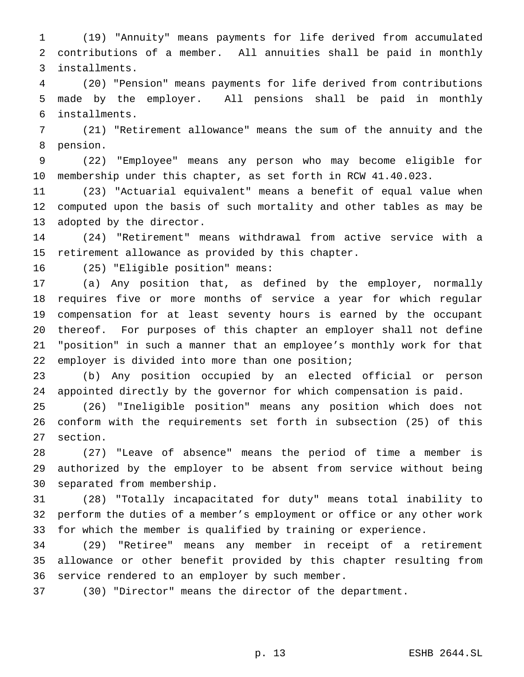(19) "Annuity" means payments for life derived from accumulated contributions of a member. All annuities shall be paid in monthly installments.

 (20) "Pension" means payments for life derived from contributions made by the employer. All pensions shall be paid in monthly installments.

 (21) "Retirement allowance" means the sum of the annuity and the pension.

 (22) "Employee" means any person who may become eligible for membership under this chapter, as set forth in RCW 41.40.023.

 (23) "Actuarial equivalent" means a benefit of equal value when computed upon the basis of such mortality and other tables as may be adopted by the director.

 (24) "Retirement" means withdrawal from active service with a retirement allowance as provided by this chapter.

(25) "Eligible position" means:

 (a) Any position that, as defined by the employer, normally requires five or more months of service a year for which regular compensation for at least seventy hours is earned by the occupant thereof. For purposes of this chapter an employer shall not define "position" in such a manner that an employee's monthly work for that employer is divided into more than one position;

 (b) Any position occupied by an elected official or person appointed directly by the governor for which compensation is paid.

 (26) "Ineligible position" means any position which does not conform with the requirements set forth in subsection (25) of this section.

 (27) "Leave of absence" means the period of time a member is authorized by the employer to be absent from service without being separated from membership.

 (28) "Totally incapacitated for duty" means total inability to perform the duties of a member's employment or office or any other work for which the member is qualified by training or experience.

 (29) "Retiree" means any member in receipt of a retirement allowance or other benefit provided by this chapter resulting from service rendered to an employer by such member.

(30) "Director" means the director of the department.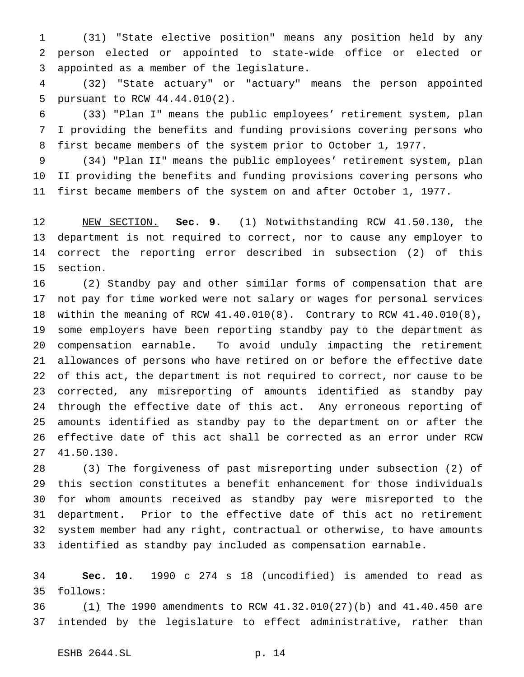(31) "State elective position" means any position held by any person elected or appointed to state-wide office or elected or appointed as a member of the legislature.

 (32) "State actuary" or "actuary" means the person appointed pursuant to RCW 44.44.010(2).

 (33) "Plan I" means the public employees' retirement system, plan I providing the benefits and funding provisions covering persons who first became members of the system prior to October 1, 1977.

 (34) "Plan II" means the public employees' retirement system, plan II providing the benefits and funding provisions covering persons who first became members of the system on and after October 1, 1977.

 NEW SECTION. **Sec. 9.** (1) Notwithstanding RCW 41.50.130, the department is not required to correct, nor to cause any employer to correct the reporting error described in subsection (2) of this section.

 (2) Standby pay and other similar forms of compensation that are not pay for time worked were not salary or wages for personal services within the meaning of RCW 41.40.010(8). Contrary to RCW 41.40.010(8), some employers have been reporting standby pay to the department as compensation earnable. To avoid unduly impacting the retirement allowances of persons who have retired on or before the effective date of this act, the department is not required to correct, nor cause to be corrected, any misreporting of amounts identified as standby pay through the effective date of this act. Any erroneous reporting of amounts identified as standby pay to the department on or after the effective date of this act shall be corrected as an error under RCW 41.50.130.

 (3) The forgiveness of past misreporting under subsection (2) of this section constitutes a benefit enhancement for those individuals for whom amounts received as standby pay were misreported to the department. Prior to the effective date of this act no retirement system member had any right, contractual or otherwise, to have amounts identified as standby pay included as compensation earnable.

 **Sec. 10.** 1990 c 274 s 18 (uncodified) is amended to read as follows:

 (1) The 1990 amendments to RCW 41.32.010(27)(b) and 41.40.450 are intended by the legislature to effect administrative, rather than